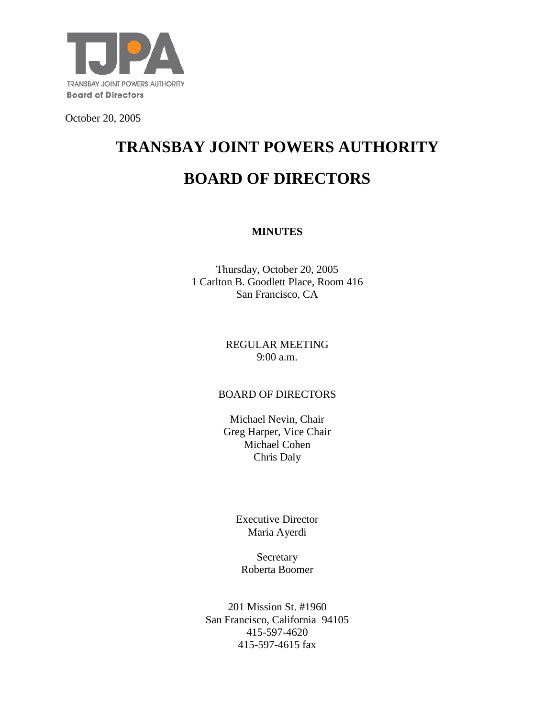

October 20, 2005

# **TRANSBAY JOINT POWERS AUTHORITY BOARD OF DIRECTORS**

## **MINUTES**

Thursday, October 20, 2005 1 Carlton B. Goodlett Place, Room 416 San Francisco, CA

#### REGULAR MEETING 9:00 a.m.

## BOARD OF DIRECTORS

Michael Nevin, Chair Greg Harper, Vice Chair Michael Cohen Chris Daly

> Executive Director Maria Ayerdi

Secretary Roberta Boomer

201 Mission St. #1960 San Francisco, California 94105 415-597-4620 415-597-4615 fax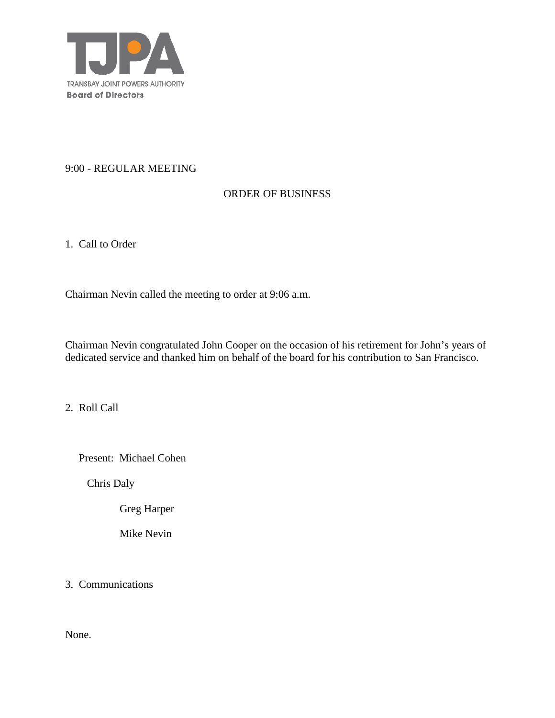

#### 9:00 - REGULAR MEETING

## ORDER OF BUSINESS

1. Call to Order

Chairman Nevin called the meeting to order at 9:06 a.m.

Chairman Nevin congratulated John Cooper on the occasion of his retirement for John's years of dedicated service and thanked him on behalf of the board for his contribution to San Francisco.

2. Roll Call

Present: Michael Cohen

Chris Daly

Greg Harper

Mike Nevin

3. Communications

None.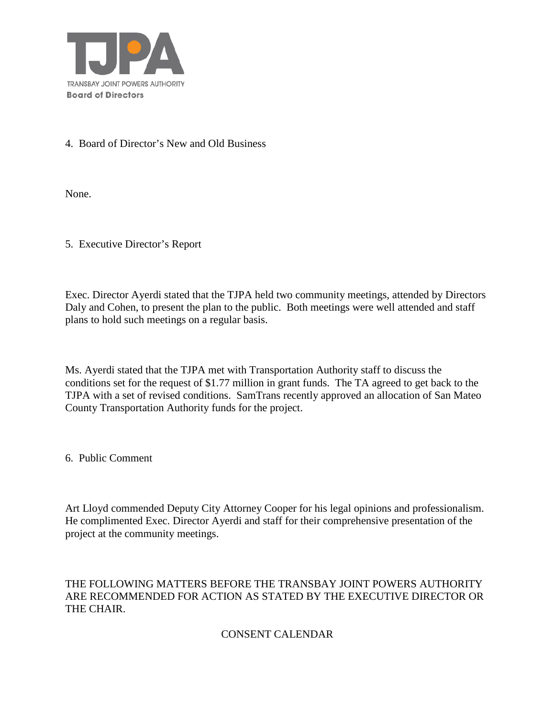

## 4. Board of Director's New and Old Business

None.

5. Executive Director's Report

Exec. Director Ayerdi stated that the TJPA held two community meetings, attended by Directors Daly and Cohen, to present the plan to the public. Both meetings were well attended and staff plans to hold such meetings on a regular basis.

Ms. Ayerdi stated that the TJPA met with Transportation Authority staff to discuss the conditions set for the request of \$1.77 million in grant funds. The TA agreed to get back to the TJPA with a set of revised conditions. SamTrans recently approved an allocation of San Mateo County Transportation Authority funds for the project.

6. Public Comment

Art Lloyd commended Deputy City Attorney Cooper for his legal opinions and professionalism. He complimented Exec. Director Ayerdi and staff for their comprehensive presentation of the project at the community meetings.

## THE FOLLOWING MATTERS BEFORE THE TRANSBAY JOINT POWERS AUTHORITY ARE RECOMMENDED FOR ACTION AS STATED BY THE EXECUTIVE DIRECTOR OR THE CHAIR.

## CONSENT CALENDAR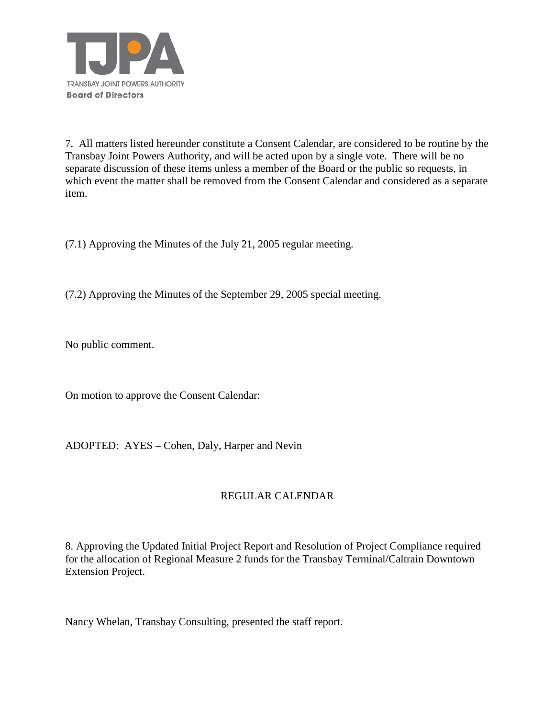

7. All matters listed hereunder constitute a Consent Calendar, are considered to be routine by the Transbay Joint Powers Authority, and will be acted upon by a single vote. There will be no separate discussion of these items unless a member of the Board or the public so requests, in which event the matter shall be removed from the Consent Calendar and considered as a separate item.

(7.1) Approving the Minutes of the July 21, 2005 regular meeting.

(7.2) Approving the Minutes of the September 29, 2005 special meeting.

No public comment.

On motion to approve the Consent Calendar:

ADOPTED: AYES – Cohen, Daly, Harper and Nevin

## REGULAR CALENDAR

8. Approving the Updated Initial Project Report and Resolution of Project Compliance required for the allocation of Regional Measure 2 funds for the Transbay Terminal/Caltrain Downtown Extension Project.

Nancy Whelan, Transbay Consulting, presented the staff report.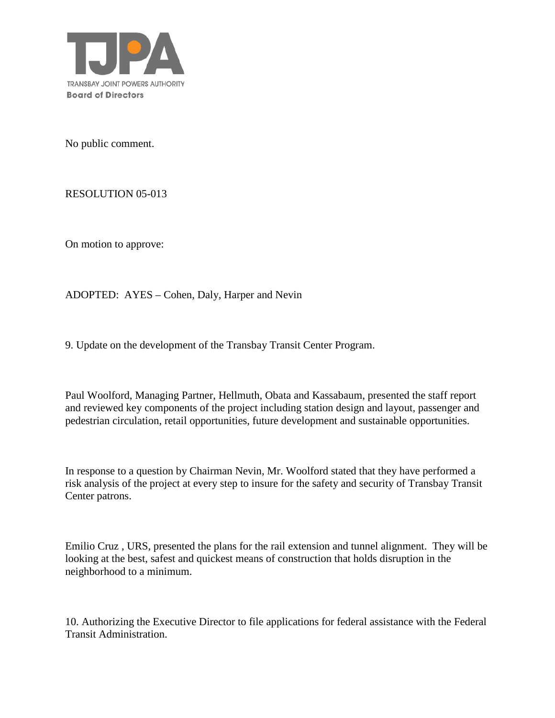

No public comment.

RESOLUTION 05-013

On motion to approve:

ADOPTED: AYES – Cohen, Daly, Harper and Nevin

9. Update on the development of the Transbay Transit Center Program.

Paul Woolford, Managing Partner, Hellmuth, Obata and Kassabaum, presented the staff report and reviewed key components of the project including station design and layout, passenger and pedestrian circulation, retail opportunities, future development and sustainable opportunities.

In response to a question by Chairman Nevin, Mr. Woolford stated that they have performed a risk analysis of the project at every step to insure for the safety and security of Transbay Transit Center patrons.

Emilio Cruz , URS, presented the plans for the rail extension and tunnel alignment. They will be looking at the best, safest and quickest means of construction that holds disruption in the neighborhood to a minimum.

10. Authorizing the Executive Director to file applications for federal assistance with the Federal Transit Administration.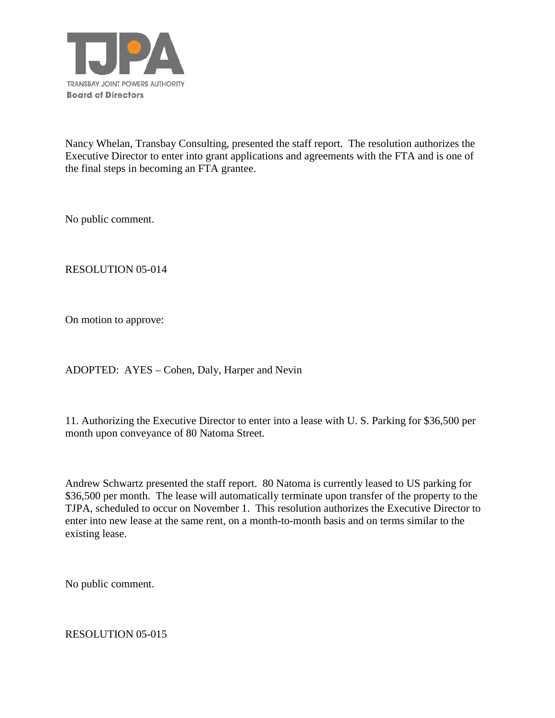

Nancy Whelan, Transbay Consulting, presented the staff report. The resolution authorizes the Executive Director to enter into grant applications and agreements with the FTA and is one of the final steps in becoming an FTA grantee.

No public comment.

RESOLUTION 05-014

On motion to approve:

ADOPTED: AYES – Cohen, Daly, Harper and Nevin

11. Authorizing the Executive Director to enter into a lease with U. S. Parking for \$36,500 per month upon conveyance of 80 Natoma Street.

Andrew Schwartz presented the staff report. 80 Natoma is currently leased to US parking for \$36,500 per month. The lease will automatically terminate upon transfer of the property to the TJPA, scheduled to occur on November 1. This resolution authorizes the Executive Director to enter into new lease at the same rent, on a month-to-month basis and on terms similar to the existing lease.

No public comment.

RESOLUTION 05-015